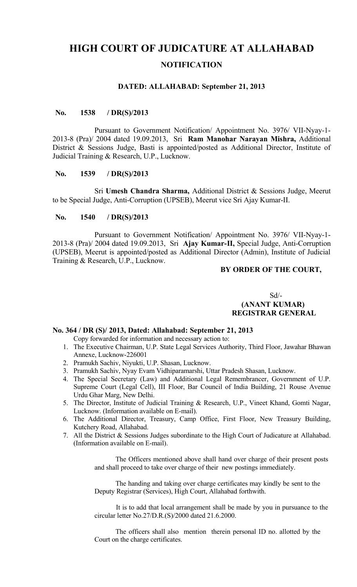# **HIGH COURT OF JUDICATURE AT ALLAHABAD NOTIFICATION**

#### **DATED: ALLAHABAD: September 21, 2013**

# **No. 1538 / DR(S)/2013**

Pursuant to Government Notification/ Appointment No. 3976/ VII-Nyay-1- 2013-8 (Pra)/ 2004 dated 19.09.2013, Sri **Ram Manohar Narayan Mishra,** Additional District & Sessions Judge, Basti is appointed/posted as Additional Director, Institute of Judicial Training & Research, U.P., Lucknow.

#### **No. 1539 / DR(S)/2013**

Sri **Umesh Chandra Sharma,** Additional District & Sessions Judge, Meerut to be Special Judge, Anti-Corruption (UPSEB), Meerut vice Sri Ajay Kumar-II.

### **No. 1540 / DR(S)/2013**

Pursuant to Government Notification/ Appointment No. 3976/ VII-Nyay-1- 2013-8 (Pra)/ 2004 dated 19.09.2013, Sri **Ajay Kumar-II,** Special Judge, Anti-Corruption (UPSEB), Meerut is appointed/posted as Additional Director (Admin), Institute of Judicial Training & Research, U.P., Lucknow.

# **BY ORDER OF THE COURT,**

### $Sd$ <sup> $\sim$ </sup> **(ANANT KUMAR) REGISTRAR GENERAL**

#### **No. 364 / DR (S)/ 2013, Dated: Allahabad: September 21, 2013**

- Copy forwarded for information and necessary action to:
- 1. The Executive Chairman, U.P. State Legal Services Authority, Third Floor, Jawahar Bhawan Annexe, Lucknow-226001
- 2. Pramukh Sachiv, Niyukti, U.P. Shasan, Lucknow.
- 3. Pramukh Sachiv, Nyay Evam Vidhiparamarshi, Uttar Pradesh Shasan, Lucknow.
- 4. The Special Secretary (Law) and Additional Legal Remembrancer, Government of U.P. Supreme Court (Legal Cell), III Floor, Bar Council of India Building, 21 Rouse Avenue Urdu Ghar Marg, New Delhi.
- 5. The Director, Institute of Judicial Training & Research, U.P., Vineet Khand, Gomti Nagar, Lucknow. (Information available on E-mail).
- 6. The Additional Director, Treasury, Camp Office, First Floor, New Treasury Building, Kutchery Road, Allahabad.
- 7. All the District & Sessions Judges subordinate to the High Court of Judicature at Allahabad. (Information available on E-mail).

The Officers mentioned above shall hand over charge of their present posts and shall proceed to take over charge of their new postings immediately.

The handing and taking over charge certificates may kindly be sent to the Deputy Registrar (Services), High Court, Allahabad forthwith.

 It is to add that local arrangement shall be made by you in pursuance to the circular letter No.27/D.R.(S)/2000 dated 21.6.2000.

The officers shall also mention therein personal ID no. allotted by the Court on the charge certificates.